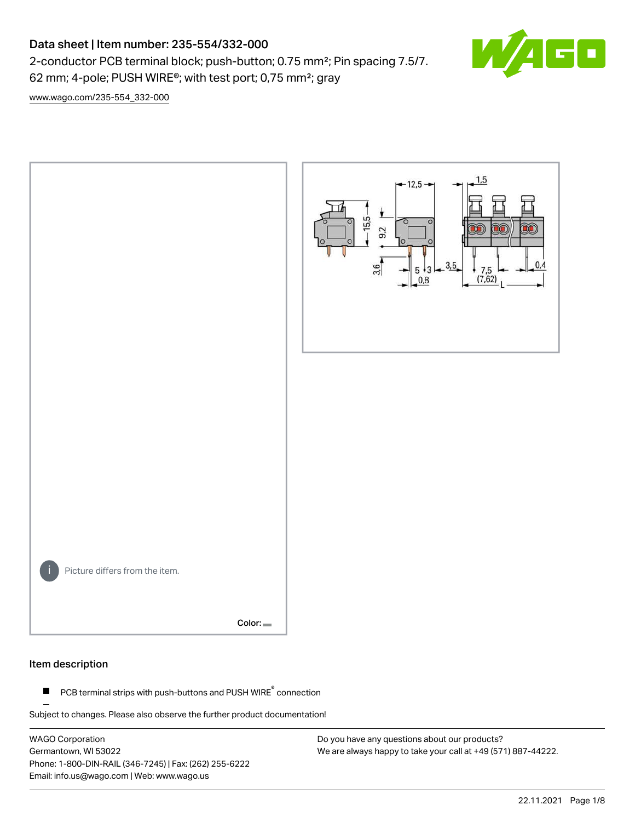# Data sheet | Item number: 235-554/332-000

2-conductor PCB terminal block; push-button; 0.75 mm²; Pin spacing 7.5/7. 62 mm; 4-pole; PUSH WIRE®; with test port; 0,75 mm²; gray



[www.wago.com/235-554\\_332-000](http://www.wago.com/235-554_332-000)



#### Item description

PCB terminal strips with push-buttons and PUSH WIRE<sup>®</sup> connection  $\blacksquare$ 

Subject to changes. Please also observe the further product documentation!

WAGO Corporation Germantown, WI 53022 Phone: 1-800-DIN-RAIL (346-7245) | Fax: (262) 255-6222 Email: info.us@wago.com | Web: www.wago.us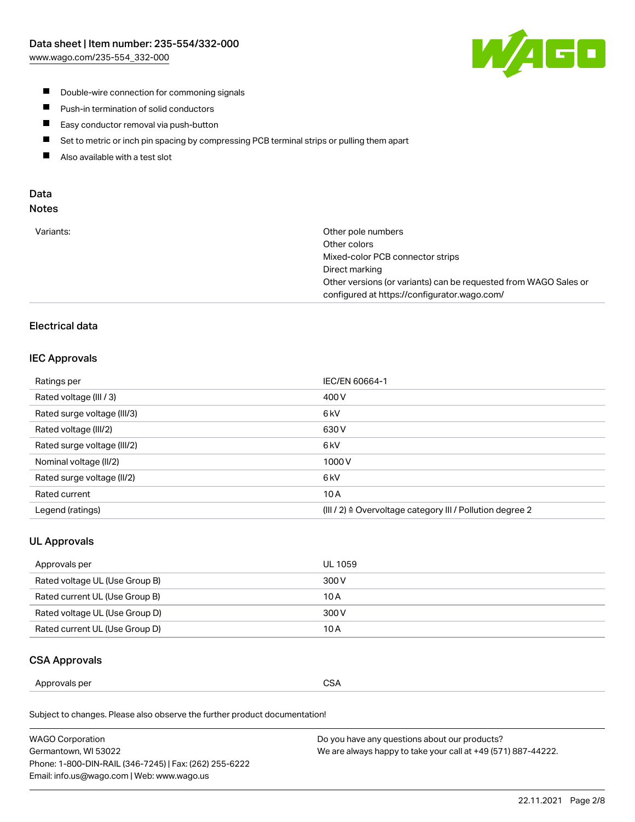

- **Double-wire connection for commoning signals**
- $\blacksquare$ Push-in termination of solid conductors
- Easy conductor removal via push-button  $\blacksquare$
- $\blacksquare$ Set to metric or inch pin spacing by compressing PCB terminal strips or pulling them apart
- $\blacksquare$ Also available with a test slot

### Data Notes

| Variants: | Other pole numbers                                               |
|-----------|------------------------------------------------------------------|
|           | Other colors                                                     |
|           | Mixed-color PCB connector strips                                 |
|           | Direct marking                                                   |
|           | Other versions (or variants) can be requested from WAGO Sales or |
|           | configured at https://configurator.wago.com/                     |

## Electrical data

#### IEC Approvals

| Ratings per                 | IEC/EN 60664-1                                                        |
|-----------------------------|-----------------------------------------------------------------------|
| Rated voltage (III / 3)     | 400 V                                                                 |
| Rated surge voltage (III/3) | 6 <sub>kV</sub>                                                       |
| Rated voltage (III/2)       | 630 V                                                                 |
| Rated surge voltage (III/2) | 6 <sub>kV</sub>                                                       |
| Nominal voltage (II/2)      | 1000 V                                                                |
| Rated surge voltage (II/2)  | 6 <sub>kV</sub>                                                       |
| Rated current               | 10A                                                                   |
| Legend (ratings)            | $(III / 2)$ $\triangle$ Overvoltage category III / Pollution degree 2 |

### UL Approvals

| Approvals per                  | UL 1059 |
|--------------------------------|---------|
| Rated voltage UL (Use Group B) | 300 V   |
| Rated current UL (Use Group B) | 10 A    |
| Rated voltage UL (Use Group D) | 300 V   |
| Rated current UL (Use Group D) | 10 A    |

#### CSA Approvals

| per    |               |
|--------|---------------|
| ovais: | $\sim$ $\sim$ |
| Annr   | SΔ            |
|        | vv.           |
|        | ___           |
|        |               |

Subject to changes. Please also observe the further product documentation!

| WAGO Corporation                                       | Do you have any questions about our products?                 |
|--------------------------------------------------------|---------------------------------------------------------------|
| Germantown, WI 53022                                   | We are always happy to take your call at +49 (571) 887-44222. |
| Phone: 1-800-DIN-RAIL (346-7245)   Fax: (262) 255-6222 |                                                               |
| Email: info.us@wago.com   Web: www.wago.us             |                                                               |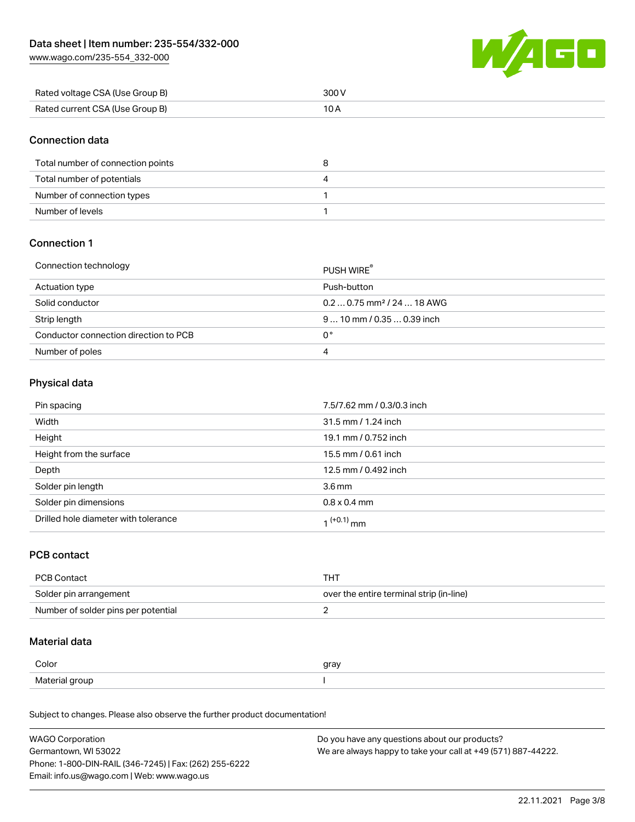[www.wago.com/235-554\\_332-000](http://www.wago.com/235-554_332-000)



| Rated voltage CSA (Use Group B) | 300 V |
|---------------------------------|-------|
| Rated current CSA (Use Group B) |       |

### Connection data

| Total number of connection points |  |
|-----------------------------------|--|
| Total number of potentials        |  |
| Number of connection types        |  |
| Number of levels                  |  |

### Connection 1

#### Connection technology PUSH WIRE®

|                                       | <b>PUSH WIRE</b>                       |
|---------------------------------------|----------------------------------------|
| Actuation type                        | Push-button                            |
| Solid conductor                       | $0.20.75$ mm <sup>2</sup> / 24  18 AWG |
| Strip length                          | $910$ mm / 0.35  0.39 inch             |
| Conductor connection direction to PCB | 0°                                     |
| Number of poles                       | 4                                      |

## Physical data

| Pin spacing                          | 7.5/7.62 mm / 0.3/0.3 inch |
|--------------------------------------|----------------------------|
| Width                                | 31.5 mm / 1.24 inch        |
| Height                               | 19.1 mm / 0.752 inch       |
| Height from the surface              | 15.5 mm / 0.61 inch        |
| Depth                                | 12.5 mm / 0.492 inch       |
| Solder pin length                    | 3.6 <sub>mm</sub>          |
| Solder pin dimensions                | $0.8 \times 0.4$ mm        |
| Drilled hole diameter with tolerance | $1^{(+0.1)}$ mm            |

### PCB contact

| PCB Contact                         | THT                                      |
|-------------------------------------|------------------------------------------|
| Solder pin arrangement              | over the entire terminal strip (in-line) |
| Number of solder pins per potential |                                          |

### Material data

| Color                 | qrav |
|-----------------------|------|
| Material gro<br>arour |      |

Subject to changes. Please also observe the further product documentation!

| <b>WAGO Corporation</b>                                | Do you have any questions about our products?                 |
|--------------------------------------------------------|---------------------------------------------------------------|
| Germantown, WI 53022                                   | We are always happy to take your call at +49 (571) 887-44222. |
| Phone: 1-800-DIN-RAIL (346-7245)   Fax: (262) 255-6222 |                                                               |
| Email: info.us@wago.com   Web: www.wago.us             |                                                               |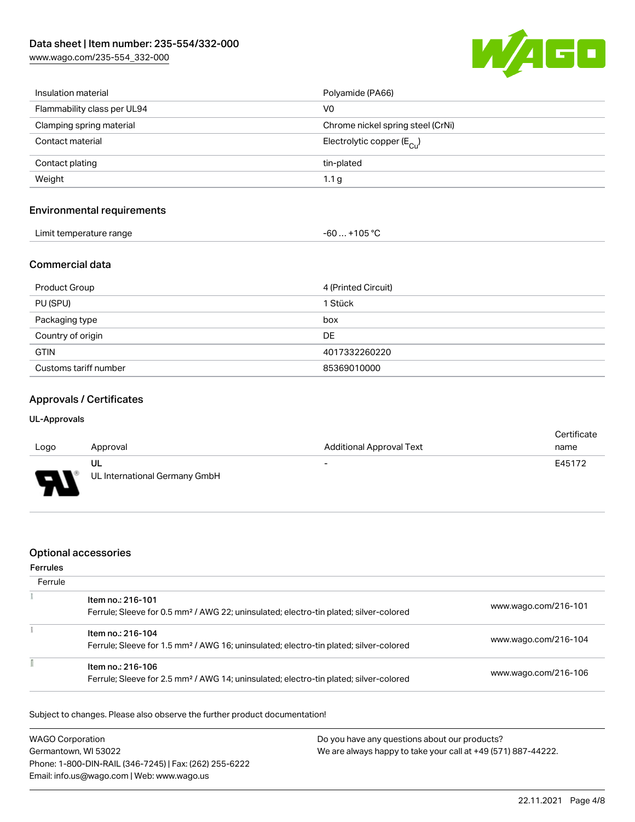[www.wago.com/235-554\\_332-000](http://www.wago.com/235-554_332-000)



| Insulation material         | Polyamide (PA66)                      |
|-----------------------------|---------------------------------------|
| Flammability class per UL94 | V <sub>0</sub>                        |
| Clamping spring material    | Chrome nickel spring steel (CrNi)     |
| Contact material            | Electrolytic copper $(E_{\text{Cl}})$ |
| Contact plating             | tin-plated                            |
| Weight                      | 1.1 <sub>g</sub>                      |
|                             |                                       |

## Environmental requirements

| Limit temperature range | $-60+105 °C$ |
|-------------------------|--------------|
|-------------------------|--------------|

## Commercial data

| Product Group         | 4 (Printed Circuit) |
|-----------------------|---------------------|
| PU (SPU)              | 1 Stück             |
| Packaging type        | box                 |
| Country of origin     | DE                  |
| <b>GTIN</b>           | 4017332260220       |
| Customs tariff number | 85369010000         |

## Approvals / Certificates

#### UL-Approvals

|                                            |                               |                                 | Certificate |  |
|--------------------------------------------|-------------------------------|---------------------------------|-------------|--|
| Logo                                       | Approval                      | <b>Additional Approval Text</b> | name        |  |
|                                            | UL                            | $\overline{\phantom{0}}$        | E45172      |  |
| $\blacksquare$<br>$\overline{\phantom{a}}$ | UL International Germany GmbH |                                 |             |  |

## Optional accessories

#### Ferrules

| Ferrule |                                                                                                                        |                      |
|---------|------------------------------------------------------------------------------------------------------------------------|----------------------|
|         | Item no.: 216-101<br>Ferrule; Sleeve for 0.5 mm <sup>2</sup> / AWG 22; uninsulated; electro-tin plated; silver-colored | www.wago.com/216-101 |
|         | Item no.: 216-104<br>Ferrule; Sleeve for 1.5 mm <sup>2</sup> / AWG 16; uninsulated; electro-tin plated; silver-colored | www.wago.com/216-104 |
|         | Item no.: 216-106<br>Ferrule; Sleeve for 2.5 mm <sup>2</sup> / AWG 14; uninsulated; electro-tin plated; silver-colored | www.wago.com/216-106 |

Subject to changes. Please also observe the further product documentation!

| <b>WAGO Corporation</b>                                | Do you have any questions about our products?                 |
|--------------------------------------------------------|---------------------------------------------------------------|
| Germantown, WI 53022                                   | We are always happy to take your call at +49 (571) 887-44222. |
| Phone: 1-800-DIN-RAIL (346-7245)   Fax: (262) 255-6222 |                                                               |
| Email: info.us@wago.com   Web: www.wago.us             |                                                               |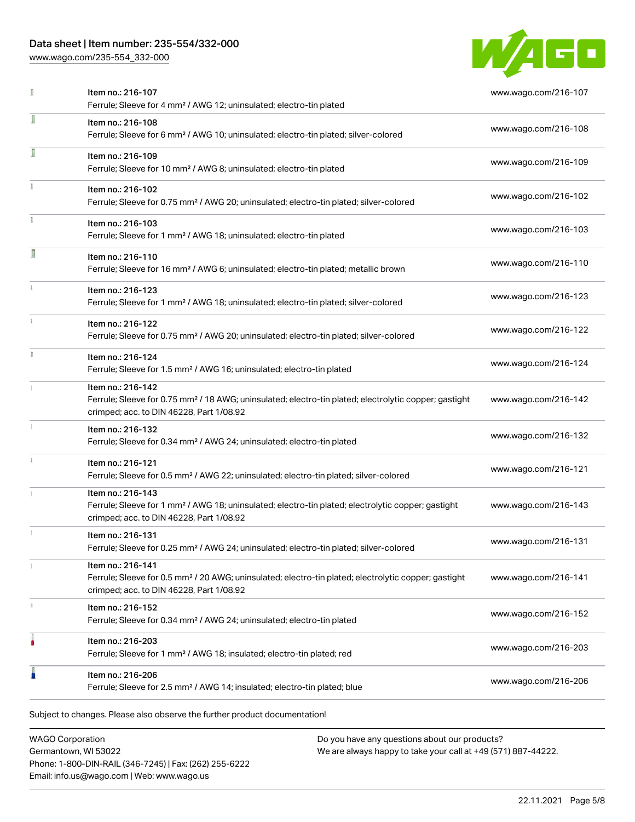## Data sheet | Item number: 235-554/332-000

[www.wago.com/235-554\\_332-000](http://www.wago.com/235-554_332-000)



|    | Item no.: 216-107<br>Ferrule; Sleeve for 4 mm <sup>2</sup> / AWG 12; uninsulated; electro-tin plated                                                                               | www.wago.com/216-107 |
|----|------------------------------------------------------------------------------------------------------------------------------------------------------------------------------------|----------------------|
| I  | Item no.: 216-108<br>Ferrule; Sleeve for 6 mm <sup>2</sup> / AWG 10; uninsulated; electro-tin plated; silver-colored                                                               | www.wago.com/216-108 |
| I  | Item no.: 216-109<br>Ferrule; Sleeve for 10 mm <sup>2</sup> / AWG 8; uninsulated; electro-tin plated                                                                               | www.wago.com/216-109 |
|    | Item no.: 216-102<br>Ferrule; Sleeve for 0.75 mm <sup>2</sup> / AWG 20; uninsulated; electro-tin plated; silver-colored                                                            | www.wago.com/216-102 |
|    | Item no.: 216-103<br>Ferrule; Sleeve for 1 mm <sup>2</sup> / AWG 18; uninsulated; electro-tin plated                                                                               | www.wago.com/216-103 |
| R  | Item no.: 216-110<br>Ferrule; Sleeve for 16 mm <sup>2</sup> / AWG 6; uninsulated; electro-tin plated; metallic brown                                                               | www.wago.com/216-110 |
| ī. | Item no.: 216-123<br>Ferrule; Sleeve for 1 mm <sup>2</sup> / AWG 18; uninsulated; electro-tin plated; silver-colored                                                               | www.wago.com/216-123 |
|    | Item no.: 216-122<br>Ferrule; Sleeve for 0.75 mm <sup>2</sup> / AWG 20; uninsulated; electro-tin plated; silver-colored                                                            | www.wago.com/216-122 |
|    | Item no.: 216-124<br>Ferrule; Sleeve for 1.5 mm <sup>2</sup> / AWG 16; uninsulated; electro-tin plated                                                                             | www.wago.com/216-124 |
|    | Item no.: 216-142<br>Ferrule; Sleeve for 0.75 mm <sup>2</sup> / 18 AWG; uninsulated; electro-tin plated; electrolytic copper; gastight<br>crimped; acc. to DIN 46228, Part 1/08.92 | www.wago.com/216-142 |
|    | Item no.: 216-132<br>Ferrule; Sleeve for 0.34 mm <sup>2</sup> / AWG 24; uninsulated; electro-tin plated                                                                            | www.wago.com/216-132 |
|    | Item no.: 216-121<br>Ferrule; Sleeve for 0.5 mm <sup>2</sup> / AWG 22; uninsulated; electro-tin plated; silver-colored                                                             | www.wago.com/216-121 |
|    | Item no.: 216-143<br>Ferrule; Sleeve for 1 mm <sup>2</sup> / AWG 18; uninsulated; electro-tin plated; electrolytic copper; gastight<br>crimped; acc. to DIN 46228, Part 1/08.92    | www.wago.com/216-143 |
|    | Item no.: 216-131<br>Ferrule; Sleeve for 0.25 mm <sup>2</sup> / AWG 24; uninsulated; electro-tin plated; silver-colored                                                            | www.wago.com/216-131 |
|    | Item no.: 216-141<br>Ferrule; Sleeve for 0.5 mm <sup>2</sup> / 20 AWG; uninsulated; electro-tin plated; electrolytic copper; gastight<br>crimped; acc. to DIN 46228, Part 1/08.92  | www.wago.com/216-141 |
| 3  | Item no.: 216-152<br>Ferrule; Sleeve for 0.34 mm <sup>2</sup> / AWG 24; uninsulated; electro-tin plated                                                                            | www.wago.com/216-152 |
|    | Item no.: 216-203<br>Ferrule; Sleeve for 1 mm <sup>2</sup> / AWG 18; insulated; electro-tin plated; red                                                                            | www.wago.com/216-203 |
| I  | Item no.: 216-206<br>Ferrule; Sleeve for 2.5 mm <sup>2</sup> / AWG 14; insulated; electro-tin plated; blue                                                                         | www.wago.com/216-206 |

WAGO Corporation Germantown, WI 53022 Phone: 1-800-DIN-RAIL (346-7245) | Fax: (262) 255-6222 Email: info.us@wago.com | Web: www.wago.us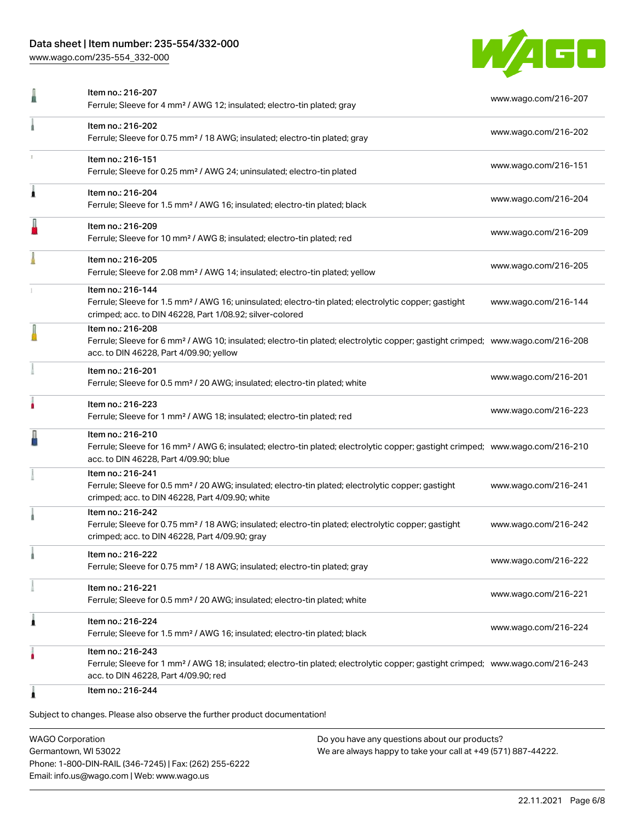## Data sheet | Item number: 235-554/332-000

[www.wago.com/235-554\\_332-000](http://www.wago.com/235-554_332-000)



|   | Item no.: 216-207<br>Ferrule; Sleeve for 4 mm <sup>2</sup> / AWG 12; insulated; electro-tin plated; gray                                                                                                   | www.wago.com/216-207 |
|---|------------------------------------------------------------------------------------------------------------------------------------------------------------------------------------------------------------|----------------------|
|   | Item no.: 216-202<br>Ferrule; Sleeve for 0.75 mm <sup>2</sup> / 18 AWG; insulated; electro-tin plated; gray                                                                                                | www.wago.com/216-202 |
|   | Item no.: 216-151<br>Ferrule; Sleeve for 0.25 mm <sup>2</sup> / AWG 24; uninsulated; electro-tin plated                                                                                                    | www.wago.com/216-151 |
| À | Item no.: 216-204<br>Ferrule; Sleeve for 1.5 mm <sup>2</sup> / AWG 16; insulated; electro-tin plated; black                                                                                                | www.wago.com/216-204 |
|   | Item no.: 216-209<br>Ferrule; Sleeve for 10 mm <sup>2</sup> / AWG 8; insulated; electro-tin plated; red                                                                                                    | www.wago.com/216-209 |
|   | Item no.: 216-205<br>Ferrule; Sleeve for 2.08 mm <sup>2</sup> / AWG 14; insulated; electro-tin plated; yellow                                                                                              | www.wago.com/216-205 |
|   | Item no.: 216-144<br>Ferrule; Sleeve for 1.5 mm <sup>2</sup> / AWG 16; uninsulated; electro-tin plated; electrolytic copper; gastight<br>crimped; acc. to DIN 46228, Part 1/08.92; silver-colored          | www.wago.com/216-144 |
|   | Item no.: 216-208<br>Ferrule; Sleeve for 6 mm <sup>2</sup> / AWG 10; insulated; electro-tin plated; electrolytic copper; gastight crimped; www.wago.com/216-208<br>acc. to DIN 46228, Part 4/09.90; yellow |                      |
|   | Item no.: 216-201<br>Ferrule; Sleeve for 0.5 mm <sup>2</sup> / 20 AWG; insulated; electro-tin plated; white                                                                                                | www.wago.com/216-201 |
|   | Item no.: 216-223<br>Ferrule; Sleeve for 1 mm <sup>2</sup> / AWG 18; insulated; electro-tin plated; red                                                                                                    | www.wago.com/216-223 |
|   | Item no.: 216-210<br>Ferrule; Sleeve for 16 mm <sup>2</sup> / AWG 6; insulated; electro-tin plated; electrolytic copper; gastight crimped; www.wago.com/216-210<br>acc. to DIN 46228, Part 4/09.90; blue   |                      |
|   | Item no.: 216-241<br>Ferrule; Sleeve for 0.5 mm <sup>2</sup> / 20 AWG; insulated; electro-tin plated; electrolytic copper; gastight<br>crimped; acc. to DIN 46228, Part 4/09.90; white                     | www.wago.com/216-241 |
|   | Item no.: 216-242<br>Ferrule; Sleeve for 0.75 mm <sup>2</sup> / 18 AWG; insulated; electro-tin plated; electrolytic copper; gastight<br>crimped; acc. to DIN 46228, Part 4/09.90; gray                     | www.wago.com/216-242 |
|   | Item no.: 216-222<br>Ferrule; Sleeve for 0.75 mm <sup>2</sup> / 18 AWG; insulated; electro-tin plated; gray                                                                                                | www.wago.com/216-222 |
|   | Item no.: 216-221<br>Ferrule; Sleeve for 0.5 mm <sup>2</sup> / 20 AWG; insulated; electro-tin plated; white                                                                                                | www.wago.com/216-221 |
| Â | Item no.: 216-224<br>Ferrule; Sleeve for 1.5 mm <sup>2</sup> / AWG 16; insulated; electro-tin plated; black                                                                                                | www.wago.com/216-224 |
|   | Item no.: 216-243<br>Ferrule; Sleeve for 1 mm <sup>2</sup> / AWG 18; insulated; electro-tin plated; electrolytic copper; gastight crimped; www.wago.com/216-243<br>acc. to DIN 46228, Part 4/09.90; red    |                      |
| 1 | Item no.: 216-244                                                                                                                                                                                          |                      |

WAGO Corporation Germantown, WI 53022 Phone: 1-800-DIN-RAIL (346-7245) | Fax: (262) 255-6222 Email: info.us@wago.com | Web: www.wago.us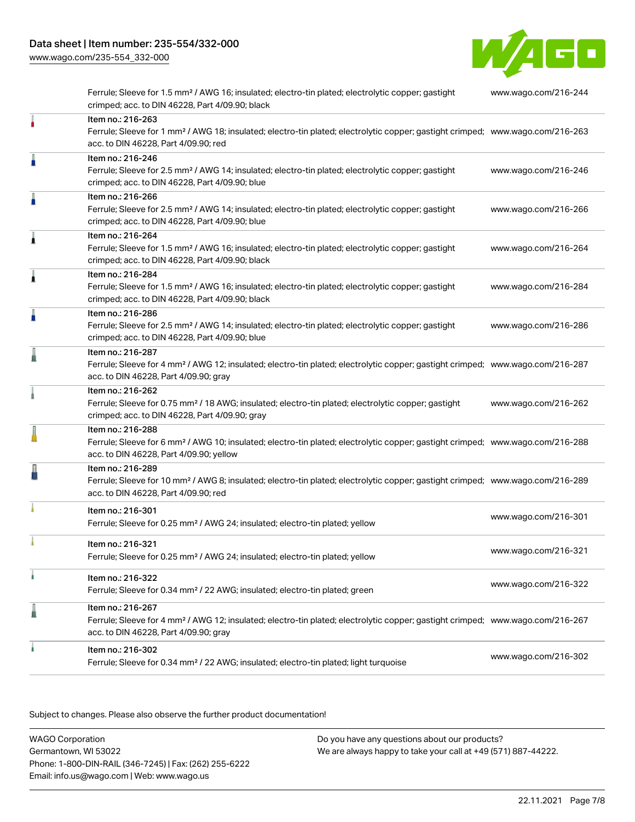[www.wago.com/235-554\\_332-000](http://www.wago.com/235-554_332-000)



Ferrule; Sleeve for 1.5 mm² / AWG 16; insulated; electro-tin plated; electrolytic copper; gastight crimped; acc. to DIN 46228, Part 4/09.90; black [www.wago.com/216-244](http://www.wago.com/216-244) Item no.: 216-263 Ferrule; Sleeve for 1 mm² / AWG 18; insulated; electro-tin plated; electrolytic copper; gastight crimped; [www.wago.com/216-263](http://www.wago.com/216-263) acc. to DIN 46228, Part 4/09.90; red Item no.: 216-246 Ferrule; Sleeve for 2.5 mm² / AWG 14; insulated; electro-tin plated; electrolytic copper; gastight crimped; acc. to DIN 46228, Part 4/09.90; blue [www.wago.com/216-246](http://www.wago.com/216-246) Item no.: 216-266 Ferrule; Sleeve for 2.5 mm² / AWG 14; insulated; electro-tin plated; electrolytic copper; gastight crimped; acc. to DIN 46228, Part 4/09.90; blue [www.wago.com/216-266](http://www.wago.com/216-266) Item no.: 216-264 Ferrule; Sleeve for 1.5 mm² / AWG 16; insulated; electro-tin plated; electrolytic copper; gastight crimped; acc. to DIN 46228, Part 4/09.90; black [www.wago.com/216-264](http://www.wago.com/216-264) Item no.: 216-284 Ferrule; Sleeve for 1.5 mm² / AWG 16; insulated; electro-tin plated; electrolytic copper; gastight crimped; acc. to DIN 46228, Part 4/09.90; black [www.wago.com/216-284](http://www.wago.com/216-284) Item no.: 216-286 Ferrule; Sleeve for 2.5 mm² / AWG 14; insulated; electro-tin plated; electrolytic copper; gastight crimped; acc. to DIN 46228, Part 4/09.90; blue [www.wago.com/216-286](http://www.wago.com/216-286) Item no.: 216-287 Ferrule; Sleeve for 4 mm² / AWG 12; insulated; electro-tin plated; electrolytic copper; gastight crimped; [www.wago.com/216-287](http://www.wago.com/216-287) acc. to DIN 46228, Part 4/09.90; gray Item no.: 216-262 Ferrule; Sleeve for 0.75 mm² / 18 AWG; insulated; electro-tin plated; electrolytic copper; gastight crimped; acc. to DIN 46228, Part 4/09.90; gray [www.wago.com/216-262](http://www.wago.com/216-262) Item no.: 216-288 Ferrule; Sleeve for 6 mm² / AWG 10; insulated; electro-tin plated; electrolytic copper; gastight crimped; [www.wago.com/216-288](http://www.wago.com/216-288) acc. to DIN 46228, Part 4/09.90; yellow Item no.: 216-289 Ferrule; Sleeve for 10 mm² / AWG 8; insulated; electro-tin plated; electrolytic copper; gastight crimped; [www.wago.com/216-289](http://www.wago.com/216-289) acc. to DIN 46228, Part 4/09.90; red Item no.: 216-301 Ferrule; Sleeve for 0.25 mm² / AWG 24; insulated; electro-tin plated; yellow [www.wago.com/216-301](http://www.wago.com/216-301) Item no.: 216-321 Ferrule; Sleeve for 0.25 mm² / AWG 24; insulated; electro-tin plated; yellow [www.wago.com/216-321](http://www.wago.com/216-321) Item no.: 216-322 Ferrule; Sleeve for 0.34 mm² / 22 AWG; insulated; electro-tin plated; green [www.wago.com/216-322](http://www.wago.com/216-322) Item no.: 216-267 Ferrule; Sleeve for 4 mm² / AWG 12; insulated; electro-tin plated; electrolytic copper; gastight crimped; [www.wago.com/216-267](http://www.wago.com/216-267) acc. to DIN 46228, Part 4/09.90; gray Item no.: 216-302 Ferrule; Sleeve for 0.34 mm² / 22 AWG; insulated; electro-tin plated; light turquoise [www.wago.com/216-302](http://www.wago.com/216-302)

.<br>Subject to changes. Please also observe the further product documentation!

WAGO Corporation Germantown, WI 53022 Phone: 1-800-DIN-RAIL (346-7245) | Fax: (262) 255-6222 Email: info.us@wago.com | Web: www.wago.us